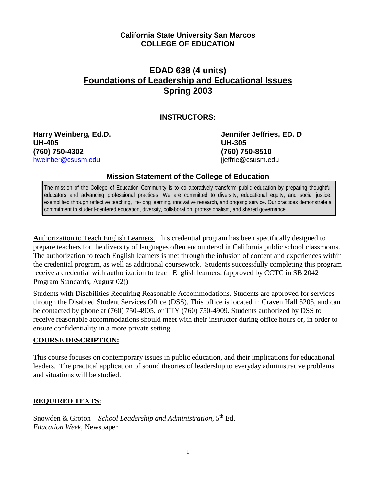## **California State University San Marcos COLLEGE OF EDUCATION**

# **EDAD 638 (4 units) Foundations of Leadership and Educational Issues Spring 2003**

## **INSTRUCTORS:**

**UH-405 UH-305 (760) 750-4302 (760) 750-8510** [hweinber@csusm.edu](mailto:hweinber@csusm.edu)

**Harry Weinberg, Ed.D. Jennifer Jeffries, ED. D**

#### **Mission Statement of the College of Education**

The mission of the College of Education Community is to collaboratively transform public education by preparing thoughtful educators and advancing professional practices. We are committed to diversity, educational equity, and social justice, exemplified through reflective teaching, life-long learning, innovative research, and ongoing service. Our practices demonstrate a commitment to student-centered education, diversity, collaboration, professionalism, and shared governance.

**A**uthorization to Teach English Learners. This credential program has been specifically designed to prepare teachers for the diversity of languages often encountered in California public school classrooms. The authorization to teach English learners is met through the infusion of content and experiences within the credential program, as well as additional coursework. Students successfully completing this program receive a credential with authorization to teach English learners. (approved by CCTC in SB 2042 Program Standards, August 02))

Students with Disabilities Requiring Reasonable Accommodations. Students are approved for services through the Disabled Student Services Office (DSS). This office is located in Craven Hall 5205, and can be contacted by phone at (760) 750-4905, or TTY (760) 750-4909. Students authorized by DSS to receive reasonable accommodations should meet with their instructor during office hours or, in order to ensure confidentiality in a more private setting.

## **COURSE DESCRIPTION:**

This course focuses on contemporary issues in public education, and their implications for educational leaders. The practical application of sound theories of leadership to everyday administrative problems and situations will be studied.

## **REQUIRED TEXTS:**

Snowden & Groton – *School Leadership and Administration*, 5th Ed. *Education Week*, Newspaper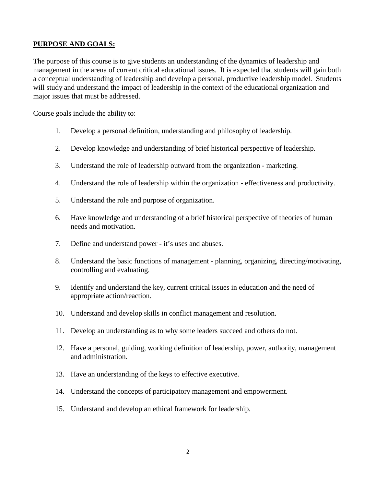## **PURPOSE AND GOALS:**

The purpose of this course is to give students an understanding of the dynamics of leadership and management in the arena of current critical educational issues. It is expected that students will gain both a conceptual understanding of leadership and develop a personal, productive leadership model. Students will study and understand the impact of leadership in the context of the educational organization and major issues that must be addressed.

Course goals include the ability to:

- 1. Develop a personal definition, understanding and philosophy of leadership.
- 2. Develop knowledge and understanding of brief historical perspective of leadership.
- 3. Understand the role of leadership outward from the organization marketing.
- 4. Understand the role of leadership within the organization effectiveness and productivity.
- 5. Understand the role and purpose of organization.
- 6. Have knowledge and understanding of a brief historical perspective of theories of human needs and motivation.
- 7. Define and understand power it's uses and abuses.
- 8. Understand the basic functions of management planning, organizing, directing/motivating, controlling and evaluating.
- 9. Identify and understand the key, current critical issues in education and the need of appropriate action/reaction.
- 10. Understand and develop skills in conflict management and resolution.
- 11. Develop an understanding as to why some leaders succeed and others do not.
- 12. Have a personal, guiding, working definition of leadership, power, authority, management and administration.
- 13. Have an understanding of the keys to effective executive.
- 14. Understand the concepts of participatory management and empowerment.
- 15. Understand and develop an ethical framework for leadership.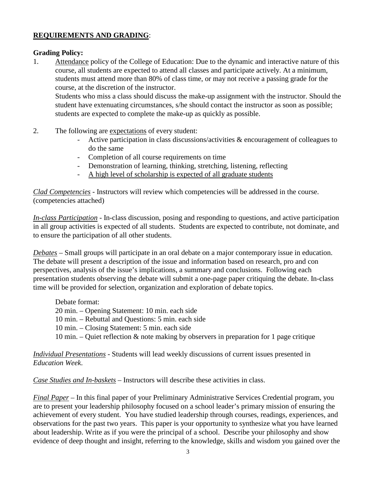## **REQUIREMENTS AND GRADING**:

#### **Grading Policy:**

1. Attendance policy of the College of Education: Due to the dynamic and interactive nature of this course, all students are expected to attend all classes and participate actively. At a minimum, students must attend more than 80% of class time, or may not receive a passing grade for the course, at the discretion of the instructor.

Students who miss a class should discuss the make-up assignment with the instructor. Should the student have extenuating circumstances, s/he should contact the instructor as soon as possible; students are expected to complete the make-up as quickly as possible.

- 2. The following are expectations of every student:
	- Active participation in class discussions/activities & encouragement of colleagues to do the same
	- Completion of all course requirements on time
	- Demonstration of learning, thinking, stretching, listening, reflecting
	- A high level of scholarship is expected of all graduate students

*Clad Competencies* - Instructors will review which competencies will be addressed in the course. (competencies attached)

*In-class Participation* - In-class discussion, posing and responding to questions, and active participation in all group activities is expected of all students. Students are expected to contribute, not dominate, and to ensure the participation of all other students.

*Debates* – Small groups will participate in an oral debate on a major contemporary issue in education. The debate will present a description of the issue and information based on research, pro and con perspectives, analysis of the issue's implications, a summary and conclusions. Following each presentation students observing the debate will submit a one-page paper critiquing the debate. In-class time will be provided for selection, organization and exploration of debate topics.

Debate format:

- 20 min. Opening Statement: 10 min. each side
- 10 min. Rebuttal and Questions: 5 min. each side
- 10 min. Closing Statement: 5 min. each side
- 10 min. Quiet reflection & note making by observers in preparation for 1 page critique

*Individual Presentations* - Students will lead weekly discussions of current issues presented in *Education Week*.

*Case Studies and In-baskets* – Instructors will describe these activities in class.

*Final Paper* – In this final paper of your Preliminary Administrative Services Credential program, you are to present your leadership philosophy focused on a school leader's primary mission of ensuring the achievement of every student. You have studied leadership through courses, readings, experiences, and observations for the past two years. This paper is your opportunity to synthesize what you have learned about leadership. Write as if you were the principal of a school. Describe your philosophy and show evidence of deep thought and insight, referring to the knowledge, skills and wisdom you gained over the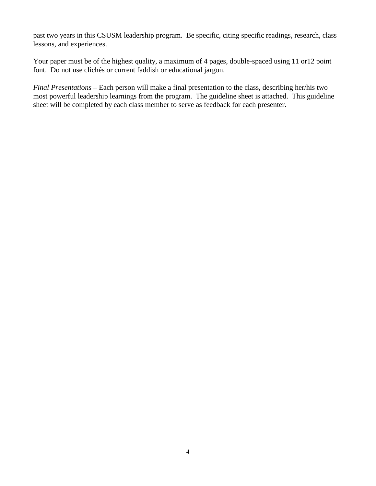past two years in this CSUSM leadership program. Be specific, citing specific readings, research, class lessons, and experiences.

Your paper must be of the highest quality, a maximum of 4 pages, double-spaced using 11 or12 point font. Do not use clichés or current faddish or educational jargon.

*Final Presentations* – Each person will make a final presentation to the class, describing her/his two most powerful leadership learnings from the program. The guideline sheet is attached. This guideline sheet will be completed by each class member to serve as feedback for each presenter.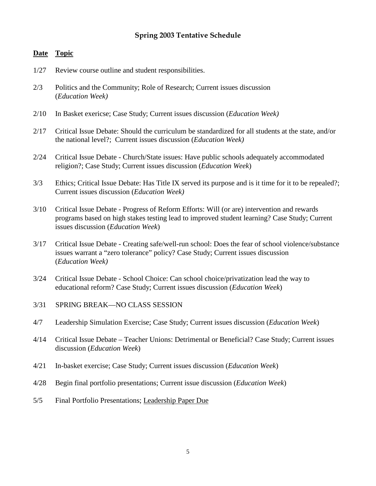## **Spring 2003 Tentative Schedule**

#### **Date Topic**

- 1/27 Review course outline and student responsibilities.
- 2/3 Politics and the Community; Role of Research; Current issues discussion (*Education Week)*
- 2/10 In Basket exericse; Case Study; Current issues discussion (*Education Week)*
- 2/17 Critical Issue Debate: Should the curriculum be standardized for all students at the state, and/or the national level?; Current issues discussion (*Education Week)*
- 2/24 Critical Issue Debate Church/State issues: Have public schools adequately accommodated religion?; Case Study; Current issues discussion (*Education Week*)
- 3/3 Ethics; Critical Issue Debate: Has Title IX served its purpose and is it time for it to be repealed?; Current issues discussion (*Education Week)*
- 3/10 Critical Issue Debate Progress of Reform Efforts: Will (or are) intervention and rewards programs based on high stakes testing lead to improved student learning? Case Study; Current issues discussion (*Education Week*)
- 3/17 Critical Issue Debate Creating safe/well-run school: Does the fear of school violence/substance issues warrant a "zero tolerance" policy? Case Study; Current issues discussion (*Education Week)*
- 3/24 Critical Issue Debate School Choice: Can school choice/privatization lead the way to educational reform? Case Study; Current issues discussion (*Education Week*)
- 3/31 SPRING BREAK—NO CLASS SESSION
- 4/7 Leadership Simulation Exercise; Case Study; Current issues discussion (*Education Week*)
- 4/14 Critical Issue Debate Teacher Unions: Detrimental or Beneficial? Case Study; Current issues discussion (*Education Week*)
- 4/21 In-basket exercise; Case Study; Current issues discussion (*Education Week*)
- 4/28 Begin final portfolio presentations; Current issue discussion (*Education Week*)
- 5/5 Final Portfolio Presentations; Leadership Paper Due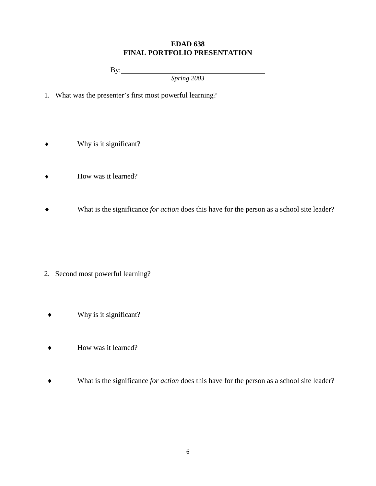#### **EDAD 638 FINAL PORTFOLIO PRESENTATION**

By:

*Spring 2003*

- 1. What was the presenter's first most powerful learning?
- ♦ Why is it significant?
- ♦ How was it learned?
- ♦ What is the significance *for action* does this have for the person as a school site leader?

- 2. Second most powerful learning?
	- $\bullet$  Why is it significant?
	- ♦ How was it learned?
	- ♦ What is the significance *for action* does this have for the person as a school site leader?